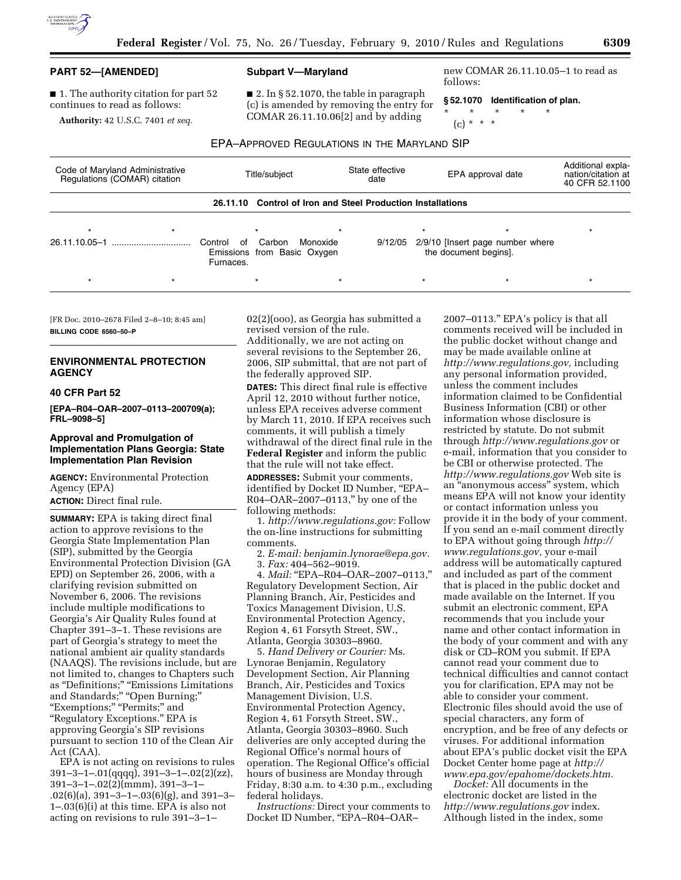

■ 1. The authority citation for part 52 continues to read as follows:

**Authority:** 42 U.S.C. 7401 *et seq.* 

#### **Subpart V—Maryland**

 $\blacksquare$  2. In § 52.1070, the table in paragraph (c) is amended by removing the entry for COMAR 26.11.10.06[2] and by adding

new COMAR 26.11.10.05–1 to read as follows:

**§ 52.1070 Identification of plan.** 

\* \* \* \* \*

(c) \* \* \*

EPA–APPROVED REGULATIONS IN THE MARYLAND SIP

| Code of Maryland Administrative<br>Regulations (COMAR) citation |  | Title/subject |         |                                                    | State effective<br>date                                     |         | EPA approval date                                         | Additional expla-<br>nation/citation at<br>40 CFR 52.1100 |
|-----------------------------------------------------------------|--|---------------|---------|----------------------------------------------------|-------------------------------------------------------------|---------|-----------------------------------------------------------|-----------------------------------------------------------|
|                                                                 |  |               |         |                                                    | 26.11.10 Control of Iron and Steel Production Installations |         |                                                           |                                                           |
| 26.11.10.05-1                                                   |  | Control<br>of | Carbon  | $\star$<br>Monoxide<br>Emissions from Basic Oxygen | 9/12/05                                                     |         | 2/9/10 [Insert page number where<br>the document begins]. | $\star$                                                   |
| $\star$                                                         |  | Furnaces.     | $\star$ | $\star$                                            |                                                             | $\star$ | $\star$                                                   | $\star$                                                   |

[FR Doc. 2010–2678 Filed 2–8–10; 8:45 am] **BILLING CODE 6560–50–P** 

# **ENVIRONMENTAL PROTECTION AGENCY**

### **40 CFR Part 52**

**[EPA–R04–OAR–2007–0113–200709(a); FRL–9098–5]** 

### **Approval and Promulgation of Implementation Plans Georgia: State Implementation Plan Revision**

**AGENCY:** Environmental Protection Agency (EPA)

**ACTION:** Direct final rule.

**SUMMARY:** EPA is taking direct final action to approve revisions to the Georgia State Implementation Plan (SIP), submitted by the Georgia Environmental Protection Division (GA EPD) on September 26, 2006, with a clarifying revision submitted on November 6, 2006. The revisions include multiple modifications to Georgia's Air Quality Rules found at Chapter 391–3–1. These revisions are part of Georgia's strategy to meet the national ambient air quality standards (NAAQS). The revisions include, but are not limited to, changes to Chapters such as "Definitions;" "Emissions Limitations and Standards;'' ''Open Burning;'' ''Exemptions;'' ''Permits;'' and "Regulatory Exceptions." EPA is approving Georgia's SIP revisions pursuant to section 110 of the Clean Air Act (CAA).

EPA is not acting on revisions to rules 391–3–1–.01(qqqq), 391–3–1–.02(2)(zz), 391–3–1–.02(2)(mmm), 391–3–1– .02(6)(a), 391–3–1–.03(6)(g), and 391–3– 1–.03(6)(i) at this time. EPA is also not acting on revisions to rule 391–3–1–

02(2)(ooo), as Georgia has submitted a revised version of the rule. Additionally, we are not acting on several revisions to the September 26, 2006, SIP submittal, that are not part of the federally approved SIP.

**DATES:** This direct final rule is effective April 12, 2010 without further notice, unless EPA receives adverse comment by March 11, 2010. If EPA receives such comments, it will publish a timely withdrawal of the direct final rule in the **Federal Register** and inform the public that the rule will not take effect. **ADDRESSES:** Submit your comments, identified by Docket ID Number, "EPA-R04–OAR–2007–0113,'' by one of the following methods:

1. *http://www.regulations.gov:* Follow the on-line instructions for submitting comments.

2. *E-mail: benjamin.lynorae@epa.gov.*  3. *Fax:* 404–562–9019.

4. *Mail:* ''EPA–R04–OAR–2007–0113,'' Regulatory Development Section, Air Planning Branch, Air, Pesticides and Toxics Management Division, U.S. Environmental Protection Agency, Region 4, 61 Forsyth Street, SW., Atlanta, Georgia 30303–8960.

5. *Hand Delivery or Courier:* Ms. Lynorae Benjamin, Regulatory Development Section, Air Planning Branch, Air, Pesticides and Toxics Management Division, U.S. Environmental Protection Agency, Region 4, 61 Forsyth Street, SW., Atlanta, Georgia 30303–8960. Such deliveries are only accepted during the Regional Office's normal hours of operation. The Regional Office's official hours of business are Monday through Friday, 8:30 a.m. to 4:30 p.m., excluding federal holidays.

*Instructions:* Direct your comments to Docket ID Number, ''EPA–R04–OAR–

2007–0113.'' EPA's policy is that all comments received will be included in the public docket without change and may be made available online at *http://www.regulations.gov,* including any personal information provided, unless the comment includes information claimed to be Confidential Business Information (CBI) or other information whose disclosure is restricted by statute. Do not submit through *http://www.regulations.gov* or e-mail, information that you consider to be CBI or otherwise protected. The *http://www.regulations.gov* Web site is an ''anonymous access'' system, which means EPA will not know your identity or contact information unless you provide it in the body of your comment. If you send an e-mail comment directly to EPA without going through *http:// www.regulations.gov,* your e-mail address will be automatically captured and included as part of the comment that is placed in the public docket and made available on the Internet. If you submit an electronic comment, EPA recommends that you include your name and other contact information in the body of your comment and with any disk or CD–ROM you submit. If EPA cannot read your comment due to technical difficulties and cannot contact you for clarification, EPA may not be able to consider your comment. Electronic files should avoid the use of special characters, any form of encryption, and be free of any defects or viruses. For additional information about EPA's public docket visit the EPA Docket Center home page at *http:// www.epa.gov/epahome/dockets.htm.* 

*Docket:* All documents in the electronic docket are listed in the *http://www.regulations.gov* index. Although listed in the index, some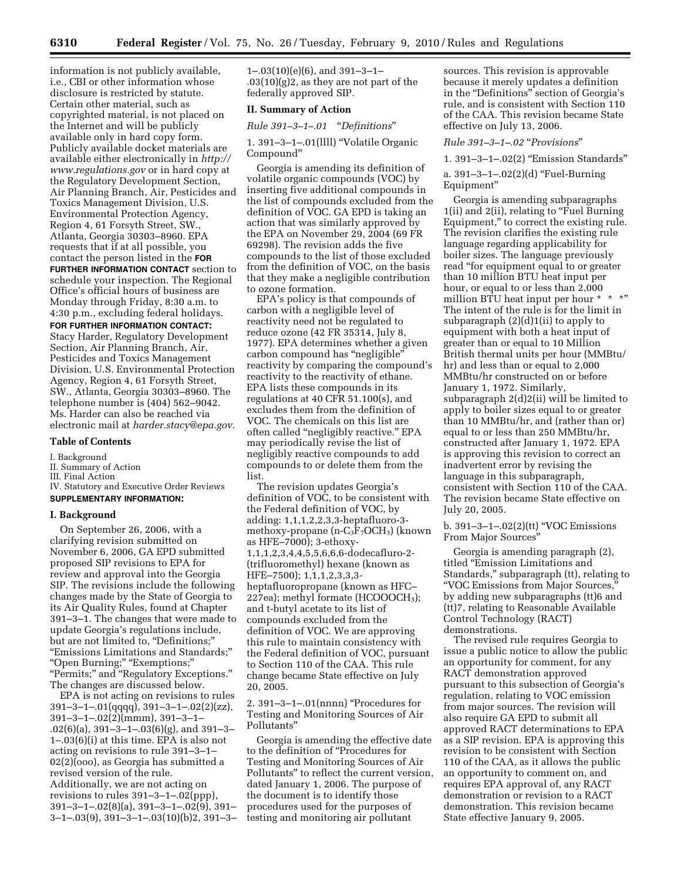information is not publicly available, i.e., CBI or other information whose disclosure is restricted by statute. Certain other material, such as copyrighted material, is not placed on the Internet and will be publicly available only in hard copy form. Publicly available docket materials are available either electronically in *http:// www.regulations.gov* or in hard copy at the Regulatory Development Section, Air Planning Branch, Air, Pesticides and Toxics Management Division, U.S. Environmental Protection Agency, Region 4, 61 Forsyth Street, SW., Atlanta, Georgia 30303–8960. EPA requests that if at all possible, you contact the person listed in the **FOR FURTHER INFORMATION CONTACT** section to schedule your inspection. The Regional Office's official hours of business are Monday through Friday, 8:30 a.m. to 4:30 p.m., excluding federal holidays.

**FOR FURTHER INFORMATION CONTACT:**  Stacy Harder, Regulatory Development Section, Air Planning Branch, Air, Pesticides and Toxics Management Division, U.S. Environmental Protection Agency, Region 4, 61 Forsyth Street, SW., Atlanta, Georgia 30303–8960. The telephone number is (404) 562–9042. Ms. Harder can also be reached via electronic mail at *harder.stacy@epa.gov.* 

### **Table of Contents**

### I. Background

## II. Summary of Action

- III. Final Action
- IV. Statutory and Executive Order Reviews **SUPPLEMENTARY INFORMATION:**

#### **I. Background**

On September 26, 2006, with a clarifying revision submitted on November 6, 2006, GA EPD submitted proposed SIP revisions to EPA for review and approval into the Georgia SIP. The revisions include the following changes made by the State of Georgia to its Air Quality Rules, found at Chapter 391–3–1. The changes that were made to update Georgia's regulations include, but are not limited to, "Definitions;" ''Emissions Limitations and Standards;'' ''Open Burning;'' ''Exemptions;'' ''Permits;'' and ''Regulatory Exceptions.'' The changes are discussed below.

EPA is not acting on revisions to rules 391–3–1–.01(qqqq), 391–3–1–.02(2)(zz), 391–3–1–.02(2)(mmm), 391–3–1– .02(6)(a), 391–3–1–.03(6)(g), and 391–3– 1–.03(6)(i) at this time. EPA is also not acting on revisions to rule 391–3–1– 02(2)(ooo), as Georgia has submitted a revised version of the rule. Additionally, we are not acting on revisions to rules 391–3–1–.02(ppp), 391–3–1–.02(8)(a), 391–3–1–.02(9), 391– 3–1–.03(9), 391–3–1–.03(10)(b)2, 391–3– 1–.03(10)(e)(6), and 391–3–1–  $.03(10)(g)2$ , as they are not part of the federally approved SIP.

# **II. Summary of Action**

*Rule 391–3–1–.01* ''*Definitions*''

1. 391–3–1–.01(llll) ''Volatile Organic Compound''

Georgia is amending its definition of volatile organic compounds (VOC) by inserting five additional compounds in the list of compounds excluded from the definition of VOC. GA EPD is taking an action that was similarly approved by the EPA on November 29, 2004 (69 FR 69298). The revision adds the five compounds to the list of those excluded from the definition of VOC, on the basis that they make a negligible contribution to ozone formation.

EPA's policy is that compounds of carbon with a negligible level of reactivity need not be regulated to reduce ozone (42 FR 35314, July 8, 1977). EPA determines whether a given carbon compound has ''negligible'' reactivity by comparing the compound's reactivity to the reactivity of ethane. EPA lists these compounds in its regulations at 40 CFR 51.100(s), and excludes them from the definition of VOC. The chemicals on this list are often called ''negligibly reactive.'' EPA may periodically revise the list of negligibly reactive compounds to add compounds to or delete them from the list.

The revision updates Georgia's definition of VOC, to be consistent with the Federal definition of VOC, by adding: 1,1,1,2,2,3,3-heptafluoro-3 methoxy-propane  $(n-C_3F_7OCH_3)$  (known as HFE–7000); 3-ethoxy-1,1,1,2,3,4,4,5,5,6,6,6-dodecafluro-2- (trifluoromethyl) hexane (known as HFE–7500); 1,1,1,2,3,3,3 heptafluoropropane (known as HFC– 227ea); methyl formate (HCOOOCH3); and t-butyl acetate to its list of compounds excluded from the definition of VOC. We are approving this rule to maintain consistency with the Federal definition of VOC, pursuant to Section 110 of the CAA. This rule change became State effective on July 20, 2005.

2. 391–3–1–.01(nnnn) ''Procedures for Testing and Monitoring Sources of Air Pollutants''

Georgia is amending the effective date to the definition of ''Procedures for Testing and Monitoring Sources of Air Pollutants'' to reflect the current version, dated January 1, 2006. The purpose of the document is to identify those procedures used for the purposes of testing and monitoring air pollutant

sources. This revision is approvable because it merely updates a definition in the "Definitions" section of Georgia's rule, and is consistent with Section 110 of the CAA. This revision became State effective on July 13, 2006.

### *Rule 391–3–1–.02* ''*Provisions*''

1. 391–3–1–.02(2) ''Emission Standards''

a. 391–3–1–.02(2)(d) ''Fuel-Burning Equipment''

Georgia is amending subparagraphs 1(ii) and 2(ii), relating to "Fuel Burning Equipment,'' to correct the existing rule. The revision clarifies the existing rule language regarding applicability for boiler sizes. The language previously read ''for equipment equal to or greater than 10 million BTU heat input per hour, or equal to or less than 2,000 million BTU heat input per hour \* \* \*" The intent of the rule is for the limit in subparagraph (2)(d)1(ii) to apply to equipment with both a heat input of greater than or equal to 10 Million British thermal units per hour (MMBtu/ hr) and less than or equal to 2,000 MMBtu/hr constructed on or before January 1, 1972. Similarly, subparagraph 2(d)2(ii) will be limited to apply to boiler sizes equal to or greater than 10 MMBtu/hr, and (rather than or) equal to or less than 250 MMBtu/hr, constructed after January 1, 1972. EPA is approving this revision to correct an inadvertent error by revising the language in this subparagraph, consistent with Section 110 of the CAA. The revision became State effective on July 20, 2005.

b. 391–3–1–.02(2)(tt) ''VOC Emissions From Major Sources''

Georgia is amending paragraph (2), titled ''Emission Limitations and Standards,'' subparagraph (tt), relating to ''VOC Emissions from Major Sources,'' by adding new subparagraphs (tt)6 and (tt)7, relating to Reasonable Available Control Technology (RACT) demonstrations.

The revised rule requires Georgia to issue a public notice to allow the public an opportunity for comment, for any RACT demonstration approved pursuant to this subsection of Georgia's regulation, relating to VOC emission from major sources. The revision will also require GA EPD to submit all approved RACT determinations to EPA as a SIP revision. EPA is approving this revision to be consistent with Section 110 of the CAA, as it allows the public an opportunity to comment on, and requires EPA approval of, any RACT demonstration or revision to a RACT demonstration. This revision became State effective January 9, 2005.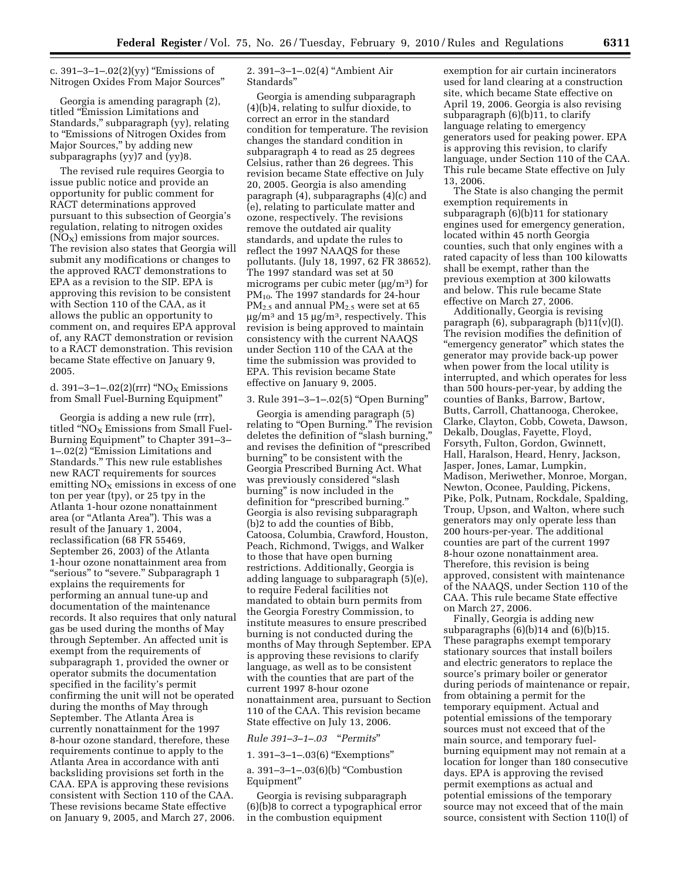c.  $391 - 3 - 1 - .02(2)(yy)$  "Emissions of Nitrogen Oxides From Major Sources''

Georgia is amending paragraph (2), titled ''Emission Limitations and Standards,'' subparagraph (yy), relating to ''Emissions of Nitrogen Oxides from Major Sources,'' by adding new subparagraphs (yy)7 and (yy)8.

The revised rule requires Georgia to issue public notice and provide an opportunity for public comment for RACT determinations approved pursuant to this subsection of Georgia's regulation, relating to nitrogen oxides  $(NO<sub>X</sub>)$  emissions from major sources. The revision also states that Georgia will submit any modifications or changes to the approved RACT demonstrations to EPA as a revision to the SIP. EPA is approving this revision to be consistent with Section 110 of the CAA, as it allows the public an opportunity to comment on, and requires EPA approval of, any RACT demonstration or revision to a RACT demonstration. This revision became State effective on January 9, 2005.

d. 391–3–1–.02(2)(rrr) "NO<sub>X</sub> Emissions from Small Fuel-Burning Equipment''

Georgia is adding a new rule (rrr), titled " $NO<sub>X</sub>$  Emissions from Small Fuel-Burning Equipment'' to Chapter 391–3– 1–.02(2) ''Emission Limitations and Standards.'' This new rule establishes new RACT requirements for sources emitting  $NO<sub>x</sub>$  emissions in excess of one ton per year (tpy), or 25 tpy in the Atlanta 1-hour ozone nonattainment area (or ''Atlanta Area''). This was a result of the January 1, 2004, reclassification (68 FR 55469, September 26, 2003) of the Atlanta 1-hour ozone nonattainment area from "serious" to "severe." Subparagraph 1 explains the requirements for performing an annual tune-up and documentation of the maintenance records. It also requires that only natural gas be used during the months of May through September. An affected unit is exempt from the requirements of subparagraph 1, provided the owner or operator submits the documentation specified in the facility's permit confirming the unit will not be operated during the months of May through September. The Atlanta Area is currently nonattainment for the 1997 8-hour ozone standard, therefore, these requirements continue to apply to the Atlanta Area in accordance with anti backsliding provisions set forth in the CAA. EPA is approving these revisions consistent with Section 110 of the CAA. These revisions became State effective on January 9, 2005, and March 27, 2006.

2. 391–3–1–.02(4) ''Ambient Air Standards''

Georgia is amending subparagraph (4)(b)4, relating to sulfur dioxide, to correct an error in the standard condition for temperature. The revision changes the standard condition in subparagraph 4 to read as 25 degrees Celsius, rather than 26 degrees. This revision became State effective on July 20, 2005. Georgia is also amending paragraph (4), subparagraphs (4)(c) and (e), relating to particulate matter and ozone, respectively. The revisions remove the outdated air quality standards, and update the rules to reflect the 1997 NAAQS for these pollutants. (July 18, 1997, 62 FR 38652). The 1997 standard was set at 50 micrograms per cubic meter (μg/m3) for  $PM_{10}$ . The 1997 standards for 24-hour  $PM_{2.5}$  and annual  $PM_{2.5}$  were set at 65  $\mu$ g/m<sup>3</sup> and 15  $\mu$ g/m<sup>3</sup>, respectively. This revision is being approved to maintain consistency with the current NAAQS under Section 110 of the CAA at the time the submission was provided to EPA. This revision became State effective on January 9, 2005.

### 3. Rule 391–3–1–.02(5) ''Open Burning''

Georgia is amending paragraph (5) relating to "Open Burning." The revision deletes the definition of ''slash burning,'' and revises the definition of ''prescribed burning'' to be consistent with the Georgia Prescribed Burning Act. What was previously considered ''slash burning'' is now included in the definition for "prescribed burning." Georgia is also revising subparagraph (b)2 to add the counties of Bibb, Catoosa, Columbia, Crawford, Houston, Peach, Richmond, Twiggs, and Walker to those that have open burning restrictions. Additionally, Georgia is adding language to subparagraph (5)(e), to require Federal facilities not mandated to obtain burn permits from the Georgia Forestry Commission, to institute measures to ensure prescribed burning is not conducted during the months of May through September. EPA is approving these revisions to clarify language, as well as to be consistent with the counties that are part of the current 1997 8-hour ozone nonattainment area, pursuant to Section 110 of the CAA. This revision became State effective on July 13, 2006.

*Rule 391–3–1–.03* ''*Permits*''

1. 391–3–1–.03(6) ''Exemptions''

a. 391–3–1–.03(6)(b) ''Combustion Equipment''

Georgia is revising subparagraph (6)(b)8 to correct a typographical error in the combustion equipment

exemption for air curtain incinerators used for land clearing at a construction site, which became State effective on April 19, 2006. Georgia is also revising subparagraph (6)(b)11, to clarify language relating to emergency generators used for peaking power. EPA is approving this revision, to clarify language, under Section 110 of the CAA. This rule became State effective on July 13, 2006.

The State is also changing the permit exemption requirements in subparagraph (6)(b)11 for stationary engines used for emergency generation, located within 45 north Georgia counties, such that only engines with a rated capacity of less than 100 kilowatts shall be exempt, rather than the previous exemption at 300 kilowatts and below. This rule became State effective on March 27, 2006.

Additionally, Georgia is revising paragraph  $(6)$ , subparagraph  $(b)11(v)(I)$ . The revision modifies the definition of ''emergency generator'' which states the generator may provide back-up power when power from the local utility is interrupted, and which operates for less than 500 hours-per-year, by adding the counties of Banks, Barrow, Bartow, Butts, Carroll, Chattanooga, Cherokee, Clarke, Clayton, Cobb, Coweta, Dawson, Dekalb, Douglas, Fayette, Floyd, Forsyth, Fulton, Gordon, Gwinnett, Hall, Haralson, Heard, Henry, Jackson, Jasper, Jones, Lamar, Lumpkin, Madison, Meriwether, Monroe, Morgan, Newton, Oconee, Paulding, Pickens, Pike, Polk, Putnam, Rockdale, Spalding, Troup, Upson, and Walton, where such generators may only operate less than 200 hours-per-year. The additional counties are part of the current 1997 8-hour ozone nonattainment area. Therefore, this revision is being approved, consistent with maintenance of the NAAQS, under Section 110 of the CAA. This rule became State effective on March 27, 2006.

Finally, Georgia is adding new subparagraphs  $(6)(b)14$  and  $(6)(b)15$ . These paragraphs exempt temporary stationary sources that install boilers and electric generators to replace the source's primary boiler or generator during periods of maintenance or repair, from obtaining a permit for the temporary equipment. Actual and potential emissions of the temporary sources must not exceed that of the main source, and temporary fuelburning equipment may not remain at a location for longer than 180 consecutive days. EPA is approving the revised permit exemptions as actual and potential emissions of the temporary source may not exceed that of the main source, consistent with Section 110(l) of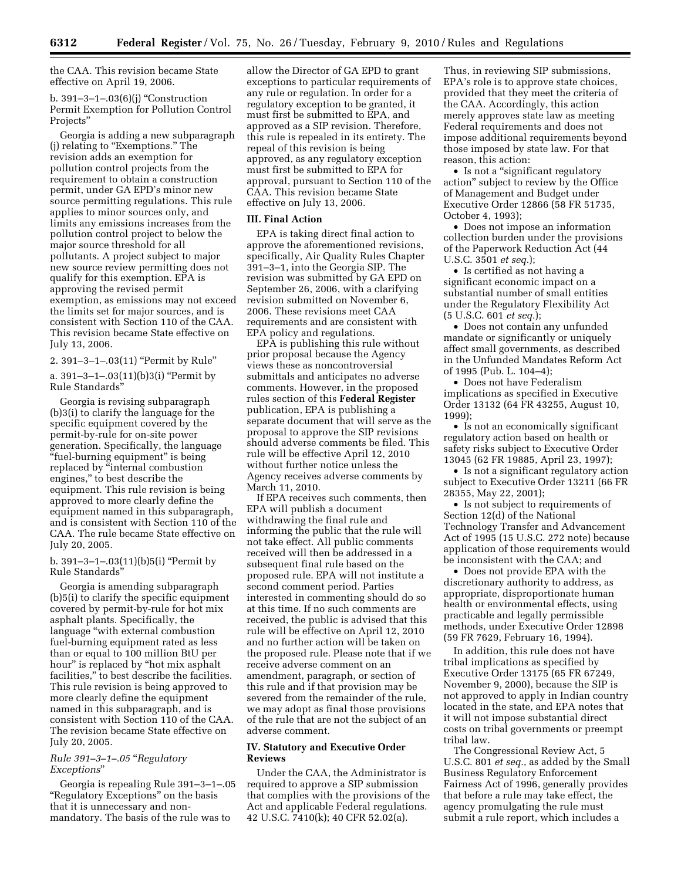the CAA. This revision became State effective on April 19, 2006.

b. 391–3–1–.03(6)(j) ''Construction Permit Exemption for Pollution Control Projects''

Georgia is adding a new subparagraph (i) relating to "Exemptions." The revision adds an exemption for pollution control projects from the requirement to obtain a construction permit, under GA EPD's minor new source permitting regulations. This rule applies to minor sources only, and limits any emissions increases from the pollution control project to below the major source threshold for all pollutants. A project subject to major new source review permitting does not qualify for this exemption. EPA is approving the revised permit exemption, as emissions may not exceed the limits set for major sources, and is consistent with Section 110 of the CAA. This revision became State effective on July 13, 2006.

2. 391–3–1–.03(11) ''Permit by Rule''

a. 391–3–1–.03(11)(b)3(i) ''Permit by Rule Standards''

Georgia is revising subparagraph (b)3(i) to clarify the language for the specific equipment covered by the permit-by-rule for on-site power generation. Specifically, the language ''fuel-burning equipment'' is being replaced by "internal combustion engines,'' to best describe the equipment. This rule revision is being approved to more clearly define the equipment named in this subparagraph, and is consistent with Section 110 of the CAA. The rule became State effective on July 20, 2005.

b. 391–3–1–.03(11)(b)5(i) ''Permit by Rule Standards''

Georgia is amending subparagraph (b)5(i) to clarify the specific equipment covered by permit-by-rule for hot mix asphalt plants. Specifically, the language ''with external combustion fuel-burning equipment rated as less than or equal to 100 million BtU per hour'' is replaced by ''hot mix asphalt facilities,'' to best describe the facilities. This rule revision is being approved to more clearly define the equipment named in this subparagraph, and is consistent with Section 110 of the CAA. The revision became State effective on July 20, 2005.

# *Rule 391–3–1–.05* ''*Regulatory Exceptions*''

Georgia is repealing Rule 391–3–1–.05 "Regulatory Exceptions" on the basis that it is unnecessary and nonmandatory. The basis of the rule was to

allow the Director of GA EPD to grant exceptions to particular requirements of any rule or regulation. In order for a regulatory exception to be granted, it must first be submitted to EPA, and approved as a SIP revision. Therefore, this rule is repealed in its entirety. The repeal of this revision is being approved, as any regulatory exception must first be submitted to EPA for approval, pursuant to Section 110 of the CAA. This revision became State effective on July 13, 2006.

### **III. Final Action**

EPA is taking direct final action to approve the aforementioned revisions, specifically, Air Quality Rules Chapter 391–3–1, into the Georgia SIP. The revision was submitted by GA EPD on September 26, 2006, with a clarifying revision submitted on November 6, 2006. These revisions meet CAA requirements and are consistent with EPA policy and regulations.

EPA is publishing this rule without prior proposal because the Agency views these as noncontroversial submittals and anticipates no adverse comments. However, in the proposed rules section of this **Federal Register**  publication, EPA is publishing a separate document that will serve as the proposal to approve the SIP revisions should adverse comments be filed. This rule will be effective April 12, 2010 without further notice unless the Agency receives adverse comments by March 11, 2010.

If EPA receives such comments, then EPA will publish a document withdrawing the final rule and informing the public that the rule will not take effect. All public comments received will then be addressed in a subsequent final rule based on the proposed rule. EPA will not institute a second comment period. Parties interested in commenting should do so at this time. If no such comments are received, the public is advised that this rule will be effective on April 12, 2010 and no further action will be taken on the proposed rule. Please note that if we receive adverse comment on an amendment, paragraph, or section of this rule and if that provision may be severed from the remainder of the rule, we may adopt as final those provisions of the rule that are not the subject of an adverse comment.

### **IV. Statutory and Executive Order Reviews**

Under the CAA, the Administrator is required to approve a SIP submission that complies with the provisions of the Act and applicable Federal regulations. 42 U.S.C. 7410(k); 40 CFR 52.02(a).

Thus, in reviewing SIP submissions, EPA's role is to approve state choices, provided that they meet the criteria of the CAA. Accordingly, this action merely approves state law as meeting Federal requirements and does not impose additional requirements beyond those imposed by state law. For that reason, this action:

• Is not a "significant regulatory action'' subject to review by the Office of Management and Budget under Executive Order 12866 (58 FR 51735, October 4, 1993);

• Does not impose an information collection burden under the provisions of the Paperwork Reduction Act (44 U.S.C. 3501 *et seq.*);

• Is certified as not having a significant economic impact on a substantial number of small entities under the Regulatory Flexibility Act (5 U.S.C. 601 *et seq.*);

• Does not contain any unfunded mandate or significantly or uniquely affect small governments, as described in the Unfunded Mandates Reform Act of 1995 (Pub. L. 104–4);

• Does not have Federalism implications as specified in Executive Order 13132 (64 FR 43255, August 10, 1999);

• Is not an economically significant regulatory action based on health or safety risks subject to Executive Order 13045 (62 FR 19885, April 23, 1997);

• Is not a significant regulatory action subject to Executive Order 13211 (66 FR 28355, May 22, 2001);

• Is not subject to requirements of Section 12(d) of the National Technology Transfer and Advancement Act of 1995 (15 U.S.C. 272 note) because application of those requirements would be inconsistent with the CAA; and

• Does not provide EPA with the discretionary authority to address, as appropriate, disproportionate human health or environmental effects, using practicable and legally permissible methods, under Executive Order 12898 (59 FR 7629, February 16, 1994).

In addition, this rule does not have tribal implications as specified by Executive Order 13175 (65 FR 67249, November 9, 2000), because the SIP is not approved to apply in Indian country located in the state, and EPA notes that it will not impose substantial direct costs on tribal governments or preempt tribal law.

The Congressional Review Act, 5 U.S.C. 801 *et seq.,* as added by the Small Business Regulatory Enforcement Fairness Act of 1996, generally provides that before a rule may take effect, the agency promulgating the rule must submit a rule report, which includes a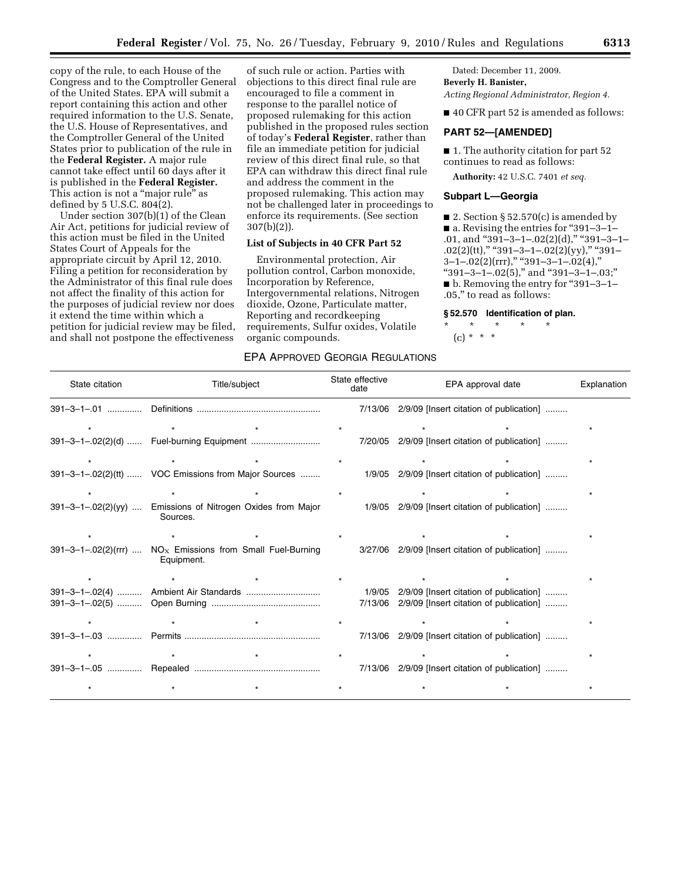copy of the rule, to each House of the Congress and to the Comptroller General of the United States. EPA will submit a report containing this action and other required information to the U.S. Senate, the U.S. House of Representatives, and the Comptroller General of the United States prior to publication of the rule in the **Federal Register.** A major rule cannot take effect until 60 days after it is published in the **Federal Register.**  This action is not a "major rule" as defined by 5 U.S.C. 804(2).

Under section 307(b)(1) of the Clean Air Act, petitions for judicial review of this action must be filed in the United States Court of Appeals for the appropriate circuit by April 12, 2010. Filing a petition for reconsideration by the Administrator of this final rule does not affect the finality of this action for the purposes of judicial review nor does it extend the time within which a petition for judicial review may be filed, and shall not postpone the effectiveness

of such rule or action. Parties with objections to this direct final rule are encouraged to file a comment in response to the parallel notice of proposed rulemaking for this action published in the proposed rules section of today's **Federal Register**, rather than file an immediate petition for judicial review of this direct final rule, so that EPA can withdraw this direct final rule and address the comment in the proposed rulemaking. This action may not be challenged later in proceedings to enforce its requirements. (See section 307(b)(2)).

# **List of Subjects in 40 CFR Part 52**

Environmental protection, Air pollution control, Carbon monoxide, Incorporation by Reference, Intergovernmental relations, Nitrogen dioxide, Ozone, Particulate matter, Reporting and recordkeeping requirements, Sulfur oxides, Volatile organic compounds.

## EPA APPROVED GEORGIA REGULATIONS

Dated: December 11, 2009. **Beverly H. Banister,** 

*Acting Regional Administrator, Region 4.* 

■ 40 CFR part 52 is amended as follows:

#### **PART 52—[AMENDED]**

■ 1. The authority citation for part 52 continues to read as follows:

**Authority:** 42 U.S.C. 7401 *et seq.* 

#### **Subpart L—Georgia**

■ 2. Section § 52.570(c) is amended by ■ a. Revising the entries for "391–3–1– .01, and "391-3-1-.02(2)(d)," "391-3-1-.02(2)(tt)," "391-3-1-.02(2)(yy)," "391- $3-1-.02(2)(\text{rrr})$ ," "391–3–1–.02(4)," "391-3-1-.02(5)," and "391-3-1-.03;" ■ b. Removing the entry for "391–3–1– .05,'' to read as follows:

#### **§ 52.570 Identification of plan.**

\* \* \* \* \*  $(c) * * * *$ 

| State citation | Title/subject                                                             | State effective<br>date | EPA approval date                                                                  | Explanation |
|----------------|---------------------------------------------------------------------------|-------------------------|------------------------------------------------------------------------------------|-------------|
|                |                                                                           | 7/13/06                 | 2/9/09 [Insert citation of publication]                                            |             |
|                |                                                                           |                         |                                                                                    |             |
|                | 391-3-1-.02(2)(d)  Fuel-burning Equipment                                 |                         | 7/20/05 2/9/09 [Insert citation of publication]                                    |             |
|                |                                                                           |                         |                                                                                    |             |
|                | 391-3-1-.02(2)(tt)  VOC Emissions from Major Sources                      |                         | 1/9/05 2/9/09 [Insert citation of publication]                                     |             |
|                |                                                                           |                         |                                                                                    |             |
|                | 391-3-1-.02(2)(yy)  Emissions of Nitrogen Oxides from Major<br>Sources.   |                         | 1/9/05 2/9/09 [Insert citation of publication]                                     |             |
|                |                                                                           |                         |                                                                                    |             |
|                | 391-3-1-.02(2)(rrr) $NOx$ Emissions from Small Fuel-Burning<br>Equipment. |                         | 3/27/06 2/9/09 [Insert citation of publication]                                    |             |
|                |                                                                           |                         |                                                                                    |             |
|                | 391-3-1-.02(4)  Ambient Air Standards                                     | 1/9/05<br>7/13/06       | 2/9/09 [Insert citation of publication]<br>2/9/09 [Insert citation of publication] |             |
|                |                                                                           |                         |                                                                                    |             |
|                |                                                                           |                         | 7/13/06 2/9/09 [Insert citation of publication]                                    |             |
|                |                                                                           |                         |                                                                                    |             |
|                |                                                                           |                         | 7/13/06 2/9/09 [Insert citation of publication]                                    |             |
|                |                                                                           |                         |                                                                                    |             |